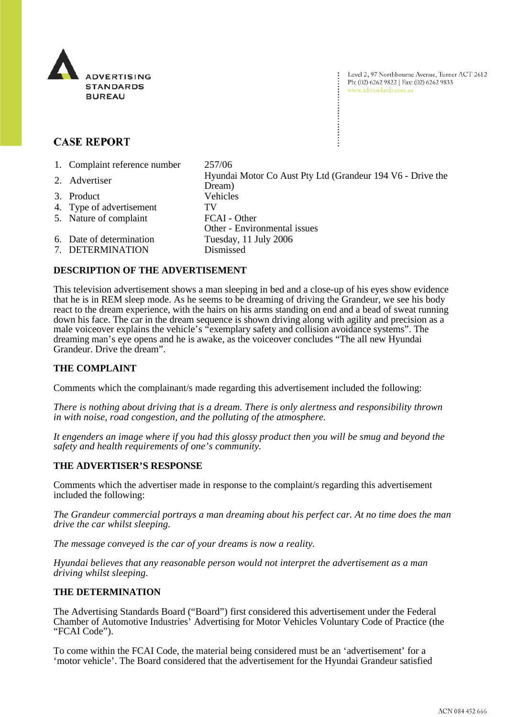

Level 2, 97 Northbourne Avenue, Turner ACT 2612 Ph: (02) 6262 9822 | Fax: (02) 6262 9833 www.adstandards.com.au

# **CASE REPORT**

1. Complaint reference number 257/06 2. Advertiser Hyundai Motor Co Aust Pty Ltd (Grandeur 194 V6 - Drive the Dream) 3. Product Vehicles 4. Type of advertisement TV 5. Nature of complaint FCAI - Other Other - Environmental issues 6. Date of determination Tuesday, 11 July 2006 7. DETERMINATION Dismissed

## **DESCRIPTION OF THE ADVERTISEMENT**

This television advertisement shows a man sleeping in bed and a close-up of his eyes show evidence that he is in REM sleep mode. As he seems to be dreaming of driving the Grandeur, we see his body react to the dream experience, with the hairs on his arms standing on end and a bead of sweat running down his face. The car in the dream sequence is shown driving along with agility and precision as a male voiceover explains the vehicle's "exemplary safety and collision avoidance systems". The dreaming man's eye opens and he is awake, as the voiceover concludes "The all new Hyundai Grandeur. Drive the dream".

## **THE COMPLAINT**

Comments which the complainant/s made regarding this advertisement included the following:

*There is nothing about driving that is a dream. There is only alertness and responsibility thrown in with noise, road congestion, and the polluting of the atmosphere.* 

*It engenders an image where if you had this glossy product then you will be smug and beyond the safety and health requirements of one's community.* 

### **THE ADVERTISER'S RESPONSE**

Comments which the advertiser made in response to the complaint/s regarding this advertisement included the following:

*The Grandeur commercial portrays a man dreaming about his perfect car. At no time does the man drive the car whilst sleeping.* 

*The message conveyed is the car of your dreams is now a reality.* 

*Hyundai believes that any reasonable person would not interpret the advertisement as a man driving whilst sleeping.* 

### **THE DETERMINATION**

The Advertising Standards Board ("Board") first considered this advertisement under the Federal Chamber of Automotive Industries' Advertising for Motor Vehicles Voluntary Code of Practice (the "FCAI Code").

To come within the FCAI Code, the material being considered must be an 'advertisement' for a 'motor vehicle'. The Board considered that the advertisement for the Hyundai Grandeur satisfied